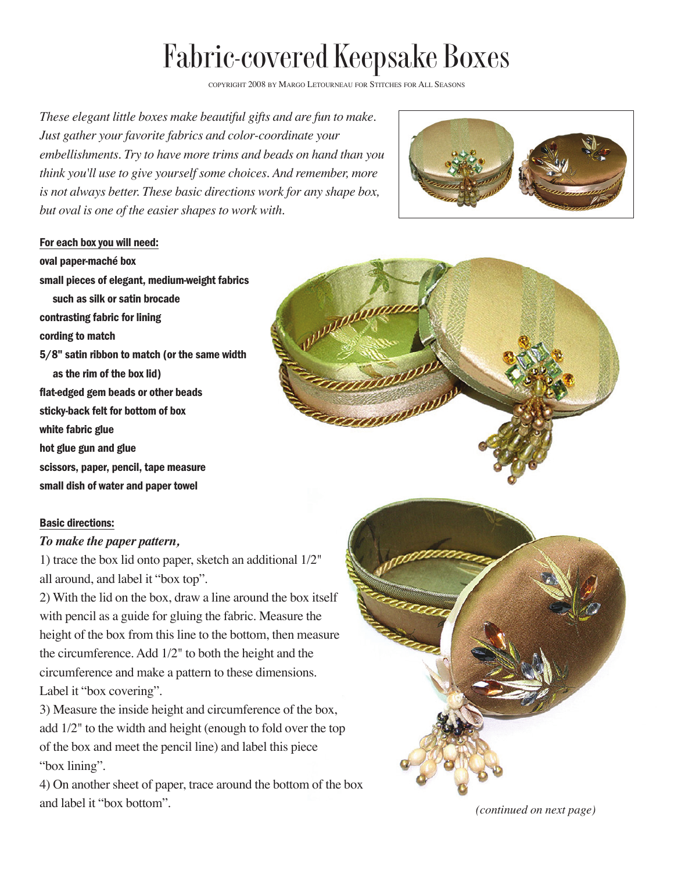## Fabric-covered Keepsake Boxes

COPYRIGHT 2008 BY MARGO LETOURNEAU FOR STITCHES FOR ALL SEASONS

*These elegant little boxes make beautiful gifts and are fun to make. Just gather your favorite fabrics and color-coordinate your embellishments. Try to have more trims and beads on hand than you think you'll use to give yourself some choices. And remember, more is not always better. These basic directions work for any shape box, but oval is one of the easier shapes to work with.*



## For each box you will need:

oval paper-maché box small pieces of elegant, medium-weight fabrics such as silk or satin brocade contrasting fabric for lining cording to match 5/8" satin ribbon to match (or the same width as the rim of the box lid) flat-edged gem beads or other beads sticky-back felt for bottom of box white fabric glue hot glue gun and glue scissors, paper, pencil, tape measure small dish of water and paper towel

## Basic directions:

## *To make the paper pattern,*

1) trace the box lid onto paper, sketch an additional 1/2" all around, and label it "box top".

2) With the lid on the box, draw a line around the box itself with pencil as a guide for gluing the fabric. Measure the height of the box from this line to the bottom, then measure the circumference. Add 1/2" to both the height and the circumference and make a pattern to these dimensions. Label it "box covering".

3) Measure the inside height and circumference of the box, add 1/2" to the width and height (enough to fold over the top of the box and meet the pencil line) and label this piece "box lining".

4) On another sheet of paper, trace around the bottom of the box and label it "box bottom".





*(continued on next page)*